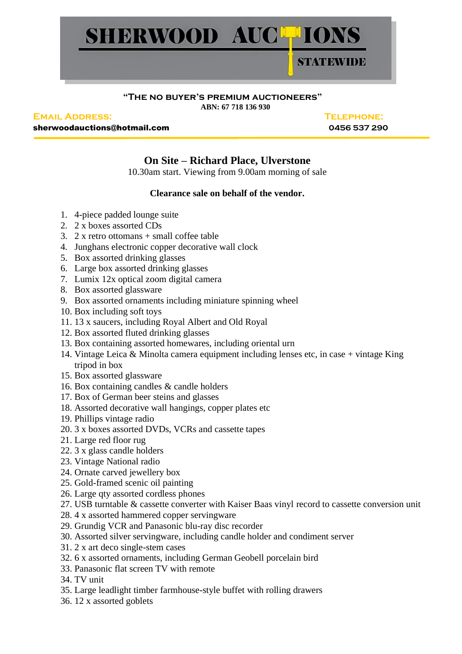

## **"The no buyer's premium auctioneers" ABN: 67 718 136 930**

**Email Address: Telephone:**

sherwoodauctions@hotmail.com **0456 537 290**

## **On Site – Richard Place, Ulverstone**

10.30am start. Viewing from 9.00am morning of sale

## **Clearance sale on behalf of the vendor.**

- 1. 4-piece padded lounge suite
- 2. 2 x boxes assorted CDs
- 3. 2 x retro ottomans  $+$  small coffee table
- 4. Junghans electronic copper decorative wall clock
- 5. Box assorted drinking glasses
- 6. Large box assorted drinking glasses
- 7. Lumix 12x optical zoom digital camera
- 8. Box assorted glassware
- 9. Box assorted ornaments including miniature spinning wheel
- 10. Box including soft toys
- 11. 13 x saucers, including Royal Albert and Old Royal
- 12. Box assorted fluted drinking glasses
- 13. Box containing assorted homewares, including oriental urn
- 14. Vintage Leica & Minolta camera equipment including lenses etc, in case + vintage King tripod in box
- 15. Box assorted glassware
- 16. Box containing candles & candle holders
- 17. Box of German beer steins and glasses
- 18. Assorted decorative wall hangings, copper plates etc
- 19. Phillips vintage radio
- 20. 3 x boxes assorted DVDs, VCRs and cassette tapes
- 21. Large red floor rug
- 22. 3 x glass candle holders
- 23. Vintage National radio
- 24. Ornate carved jewellery box
- 25. Gold-framed scenic oil painting
- 26. Large qty assorted cordless phones
- 27. USB turntable & cassette converter with Kaiser Baas vinyl record to cassette conversion unit
- 28. 4 x assorted hammered copper servingware
- 29. Grundig VCR and Panasonic blu-ray disc recorder
- 30. Assorted silver servingware, including candle holder and condiment server
- 31. 2 x art deco single-stem cases
- 32. 6 x assorted ornaments, including German Geobell porcelain bird
- 33. Panasonic flat screen TV with remote
- 34. TV unit
- 35. Large leadlight timber farmhouse-style buffet with rolling drawers
- 36. 12 x assorted goblets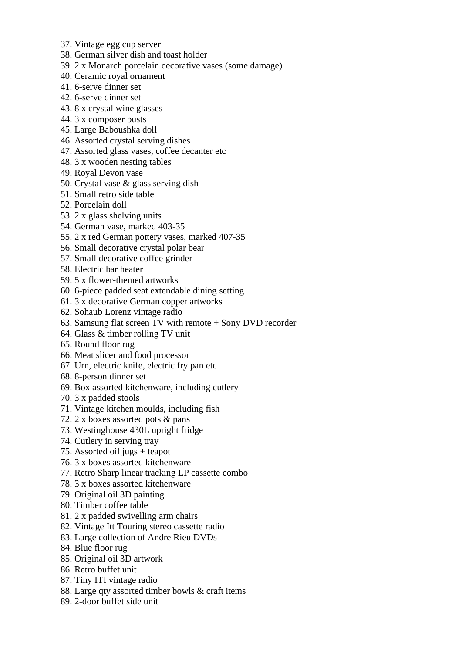- 37. Vintage egg cup server
- 38. German silver dish and toast holder
- 39. 2 x Monarch porcelain decorative vases (some damage)
- 40. Ceramic royal ornament
- 41. 6-serve dinner set
- 42. 6-serve dinner set
- 43. 8 x crystal wine glasses
- 44. 3 x composer busts
- 45. Large Baboushka doll
- 46. Assorted crystal serving dishes
- 47. Assorted glass vases, coffee decanter etc
- 48. 3 x wooden nesting tables
- 49. Royal Devon vase
- 50. Crystal vase & glass serving dish
- 51. Small retro side table
- 52. Porcelain doll
- 53. 2 x glass shelving units
- 54. German vase, marked 403-35
- 55. 2 x red German pottery vases, marked 407-35
- 56. Small decorative crystal polar bear
- 57. Small decorative coffee grinder
- 58. Electric bar heater
- 59. 5 x flower-themed artworks
- 60. 6-piece padded seat extendable dining setting
- 61. 3 x decorative German copper artworks
- 62. Sohaub Lorenz vintage radio
- 63. Samsung flat screen TV with remote + Sony DVD recorder
- 64. Glass & timber rolling TV unit
- 65. Round floor rug
- 66. Meat slicer and food processor
- 67. Urn, electric knife, electric fry pan etc
- 68. 8-person dinner set
- 69. Box assorted kitchenware, including cutlery
- 70. 3 x padded stools
- 71. Vintage kitchen moulds, including fish
- 72. 2 x boxes assorted pots & pans
- 73. Westinghouse 430L upright fridge
- 74. Cutlery in serving tray
- 75. Assorted oil jugs + teapot
- 76. 3 x boxes assorted kitchenware
- 77. Retro Sharp linear tracking LP cassette combo
- 78. 3 x boxes assorted kitchenware
- 79. Original oil 3D painting
- 80. Timber coffee table
- 81. 2 x padded swivelling arm chairs
- 82. Vintage Itt Touring stereo cassette radio
- 83. Large collection of Andre Rieu DVDs
- 84. Blue floor rug
- 85. Original oil 3D artwork
- 86. Retro buffet unit
- 87. Tiny ITI vintage radio
- 88. Large qty assorted timber bowls & craft items
- 89. 2-door buffet side unit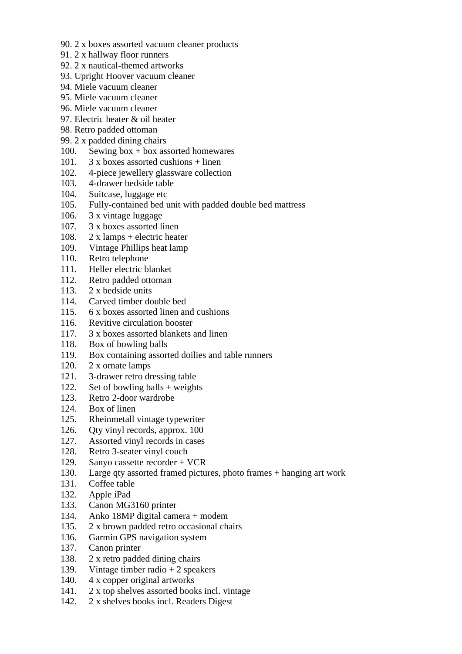- 90. 2 x boxes assorted vacuum cleaner products
- 91. 2 x hallway floor runners
- 92. 2 x nautical-themed artworks
- 93. Upright Hoover vacuum cleaner
- 94. Miele vacuum cleaner
- 95. Miele vacuum cleaner
- 96. Miele vacuum cleaner
- 97. Electric heater & oil heater
- 98. Retro padded ottoman
- 99. 2 x padded dining chairs
- 100. Sewing box + box assorted homewares
- 101.  $3 \times$  boxes assorted cushions + linen
- 102. 4-piece jewellery glassware collection
- 103. 4-drawer bedside table
- 104. Suitcase, luggage etc
- 105. Fully-contained bed unit with padded double bed mattress
- 106. 3 x vintage luggage
- 107. 3 x boxes assorted linen
- 108. 2 x lamps + electric heater
- 109. Vintage Phillips heat lamp
- 110. Retro telephone
- 111. Heller electric blanket
- 112. Retro padded ottoman
- 113. 2 x bedside units
- 114. Carved timber double bed
- 115. 6 x boxes assorted linen and cushions
- 116. Revitive circulation booster
- 117. 3 x boxes assorted blankets and linen
- 118. Box of bowling balls
- 119. Box containing assorted doilies and table runners
- 120. 2 x ornate lamps
- 121. 3-drawer retro dressing table
- 122. Set of bowling balls + weights
- 123. Retro 2-door wardrobe
- 124. Box of linen
- 125. Rheinmetall vintage typewriter
- 126. Qty vinyl records, approx. 100
- 127. Assorted vinyl records in cases
- 128. Retro 3-seater vinyl couch
- 129. Sanyo cassette recorder + VCR
- 130. Large qty assorted framed pictures, photo frames + hanging art work
- 131. Coffee table
- 132. Apple iPad
- 133. Canon MG3160 printer
- 134. Anko 18MP digital camera + modem
- 135. 2 x brown padded retro occasional chairs
- 136. Garmin GPS navigation system
- 137. Canon printer
- 138. 2 x retro padded dining chairs
- 139. Vintage timber radio + 2 speakers
- 140. 4 x copper original artworks
- 141. 2 x top shelves assorted books incl. vintage
- 142. 2 x shelves books incl. Readers Digest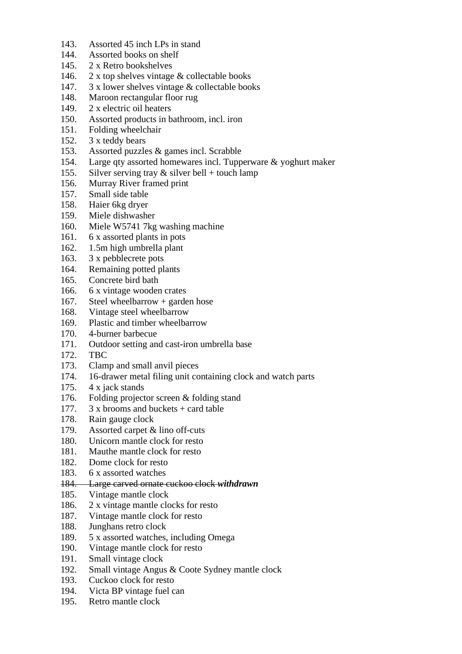- 143. Assorted 45 inch LPs in stand
- 144. Assorted books on shelf
- 145. 2 x Retro bookshelves
- 146. 2 x top shelves vintage & collectable books
- 147. 3 x lower shelves vintage & collectable books
- 148. Maroon rectangular floor rug
- 149. 2 x electric oil heaters
- 150. Assorted products in bathroom, incl. iron
- 151. Folding wheelchair
- 152. 3 x teddy bears
- 153. Assorted puzzles & games incl. Scrabble
- 154. Large qty assorted homewares incl. Tupperware & yoghurt maker
- 155. Silver serving tray  $&$  silver bell + touch lamp
- 156. Murray River framed print
- 157. Small side table
- 158. Haier 6kg dryer
- 159. Miele dishwasher
- 160. Miele W5741 7kg washing machine
- 161. 6 x assorted plants in pots
- 162. 1.5m high umbrella plant
- 163. 3 x pebblecrete pots
- 164. Remaining potted plants
- 165. Concrete bird bath
- 166. 6 x vintage wooden crates
- 167. Steel wheelbarrow + garden hose
- 168. Vintage steel wheelbarrow
- 169. Plastic and timber wheelbarrow
- 170. 4-burner barbecue
- 171. Outdoor setting and cast-iron umbrella base
- 172. TBC
- 173. Clamp and small anvil pieces
- 174. 16-drawer metal filing unit containing clock and watch parts
- 175. 4 x jack stands
- 176. Folding projector screen & folding stand
- 177. 3 x brooms and buckets + card table
- 178. Rain gauge clock
- 179. Assorted carpet & lino off-cuts
- 180. Unicorn mantle clock for resto
- 181. Mauthe mantle clock for resto
- 182. Dome clock for resto
- 183. 6 x assorted watches
- 184. Large carved ornate cuckoo clock *withdrawn*
- 185. Vintage mantle clock
- 186. 2 x vintage mantle clocks for resto
- 187. Vintage mantle clock for resto
- 188. Junghans retro clock
- 189. 5 x assorted watches, including Omega
- 190. Vintage mantle clock for resto
- 191. Small vintage clock
- 192. Small vintage Angus & Coote Sydney mantle clock
- 193. Cuckoo clock for resto
- 194. Victa BP vintage fuel can
- 195. Retro mantle clock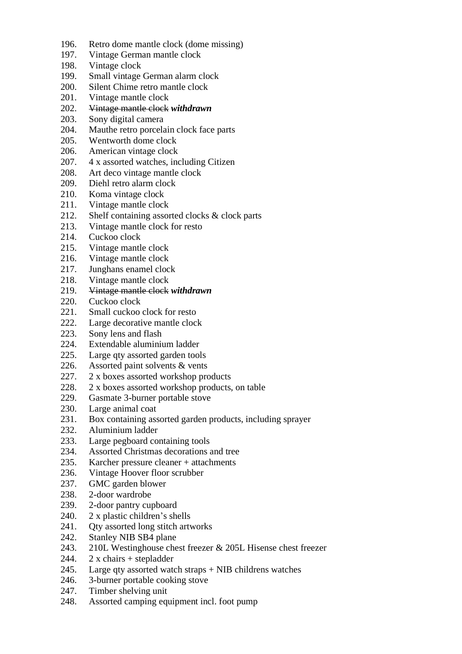- 196. Retro dome mantle clock (dome missing)
- 197. Vintage German mantle clock
- 198. Vintage clock
- 199. Small vintage German alarm clock
- 200. Silent Chime retro mantle clock
- 201. Vintage mantle clock
- 202. Vintage mantle clock *withdrawn*
- 203. Sony digital camera
- 204. Mauthe retro porcelain clock face parts
- 205. Wentworth dome clock
- 206. American vintage clock
- 207. 4 x assorted watches, including Citizen
- 208. Art deco vintage mantle clock
- 209. Diehl retro alarm clock
- 210. Koma vintage clock
- 211. Vintage mantle clock
- 212. Shelf containing assorted clocks & clock parts
- 213. Vintage mantle clock for resto
- 214. Cuckoo clock
- 215. Vintage mantle clock
- 216. Vintage mantle clock
- 217. Junghans enamel clock
- 218. Vintage mantle clock
- 219. Vintage mantle clock *withdrawn*
- 220. Cuckoo clock
- 221. Small cuckoo clock for resto
- 222. Large decorative mantle clock
- 223. Sony lens and flash
- 224. Extendable aluminium ladder
- 225. Large qty assorted garden tools
- 226. Assorted paint solvents & vents
- 227. 2 x boxes assorted workshop products
- 228. 2 x boxes assorted workshop products, on table
- 229. Gasmate 3-burner portable stove
- 230. Large animal coat
- 231. Box containing assorted garden products, including sprayer
- 232. Aluminium ladder
- 233. Large pegboard containing tools
- 234. Assorted Christmas decorations and tree
- 235. Karcher pressure cleaner + attachments
- 236. Vintage Hoover floor scrubber
- 237. GMC garden blower
- 238. 2-door wardrobe
- 239. 2-door pantry cupboard
- 240. 2 x plastic children's shells
- 241. Qty assorted long stitch artworks
- 242. Stanley NIB SB4 plane
- 243. 210L Westinghouse chest freezer & 205L Hisense chest freezer
- 244.  $2 \times \text{ chairs} + \text{stepladder}$
- 245. Large qty assorted watch straps + NIB childrens watches
- 246. 3-burner portable cooking stove
- 247. Timber shelving unit
- 248. Assorted camping equipment incl. foot pump